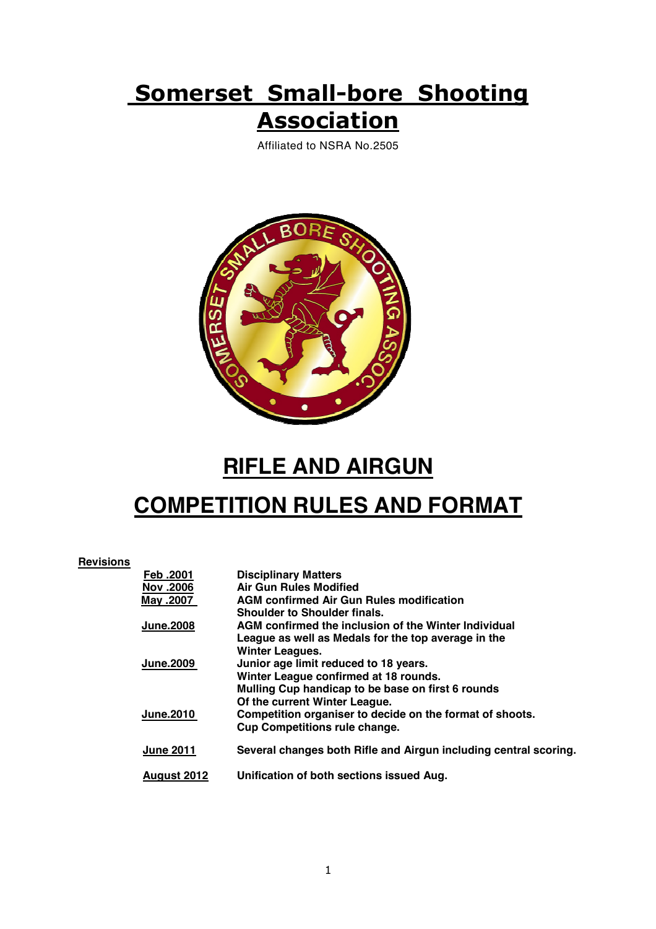# **Somerset Small-bore Shooting Association**

Affiliated to NSRA No.2505



## **RIFLE AND AIRGUN**

# **COMPETITION RULES AND FORMAT**

#### **Revisions**

| <b>Feb. 2001</b> | <b>Disciplinary Matters</b>                                      |
|------------------|------------------------------------------------------------------|
| Nov .2006        | <b>Air Gun Rules Modified</b>                                    |
| May .2007        | <b>AGM confirmed Air Gun Rules modification</b>                  |
|                  | <b>Shoulder to Shoulder finals.</b>                              |
| <b>June.2008</b> | AGM confirmed the inclusion of the Winter Individual             |
|                  | League as well as Medals for the top average in the              |
|                  | <b>Winter Leagues.</b>                                           |
| <b>June.2009</b> | Junior age limit reduced to 18 years.                            |
|                  | Winter League confirmed at 18 rounds.                            |
|                  | Mulling Cup handicap to be base on first 6 rounds                |
|                  | Of the current Winter League.                                    |
| <b>June.2010</b> | Competition organiser to decide on the format of shoots.         |
|                  | <b>Cup Competitions rule change.</b>                             |
|                  |                                                                  |
| <b>June 2011</b> | Several changes both Rifle and Airgun including central scoring. |
|                  |                                                                  |
| August 2012      | Unification of both sections issued Aug.                         |
|                  |                                                                  |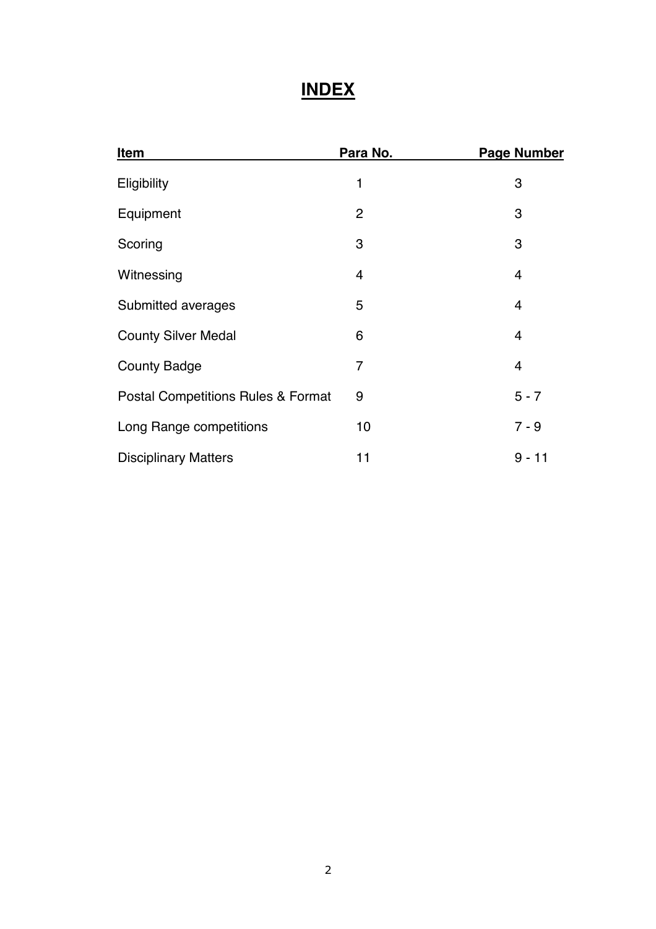## **INDEX**

| <u>Item</u>                                   | Para No.       | <b>Page Number</b> |
|-----------------------------------------------|----------------|--------------------|
| Eligibility                                   | 1              | 3                  |
| Equipment                                     | 2              | 3                  |
| Scoring                                       | 3              | 3                  |
| Witnessing                                    | $\overline{4}$ | $\overline{4}$     |
| Submitted averages                            | 5              | $\overline{4}$     |
| <b>County Silver Medal</b>                    | 6              | $\overline{4}$     |
| <b>County Badge</b>                           | $\overline{7}$ | $\overline{4}$     |
| <b>Postal Competitions Rules &amp; Format</b> | 9              | $5 - 7$            |
| Long Range competitions                       | 10             | $7 - 9$            |
| <b>Disciplinary Matters</b>                   | 11             | $9 - 11$           |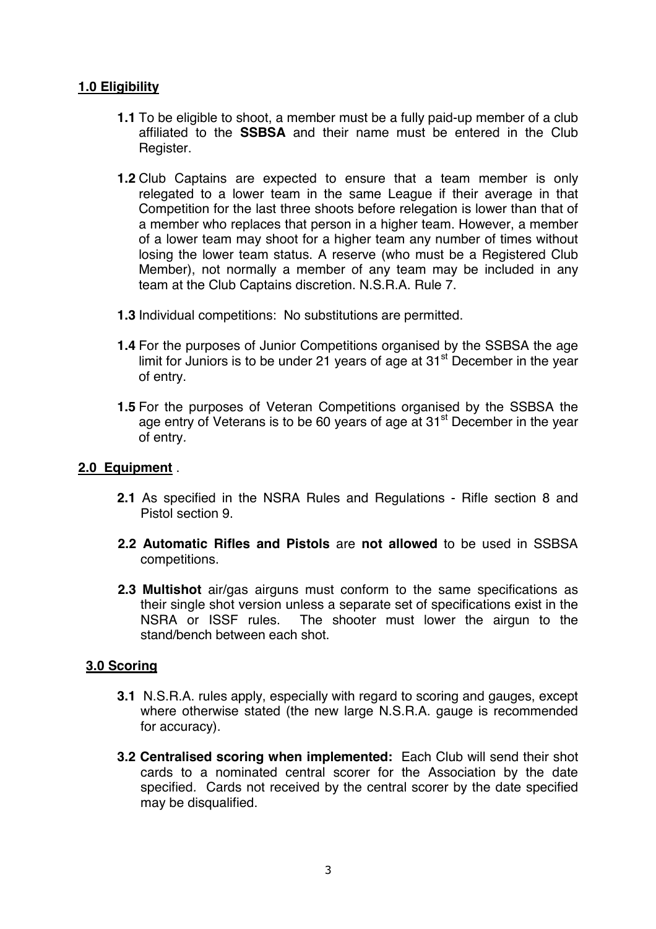#### **1.0 Eligibility**

- **1.1** To be eligible to shoot, a member must be a fully paid-up member of a club affiliated to the **SSBSA** and their name must be entered in the Club Register.
- **1.2** Club Captains are expected to ensure that a team member is only relegated to a lower team in the same League if their average in that Competition for the last three shoots before relegation is lower than that of a member who replaces that person in a higher team. However, a member of a lower team may shoot for a higher team any number of times without losing the lower team status. A reserve (who must be a Registered Club Member), not normally a member of any team may be included in any team at the Club Captains discretion. N.S.R.A. Rule 7.
- **1.3** Individual competitions: No substitutions are permitted.
- **1.4** For the purposes of Junior Competitions organised by the SSBSA the age limit for Juniors is to be under 21 years of age at  $31<sup>st</sup>$  December in the year of entry.
- **1.5** For the purposes of Veteran Competitions organised by the SSBSA the age entry of Veterans is to be 60 years of age at 31<sup>st</sup> December in the year of entry*.*

#### **2.0 Equipment** .

- **2.1** As specified in the NSRA Rules and Regulations Rifle section 8 and Pistol section 9.
- **2.2 Automatic Rifles and Pistols** are **not allowed** to be used in SSBSA competitions.
- **2.3 Multishot** air/gas airguns must conform to the same specifications as their single shot version unless a separate set of specifications exist in the NSRA or ISSF rules. The shooter must lower the airgun to the stand/bench between each shot.

#### **3.0 Scoring**

- **3.1** N.S.R.A. rules apply, especially with regard to scoring and gauges, except where otherwise stated (the new large N.S.R.A. gauge is recommended for accuracy).
- **3.2 Centralised scoring when implemented:** Each Club will send their shot cards to a nominated central scorer for the Association by the date specified*.* Cards not received by the central scorer by the date specified may be disqualified.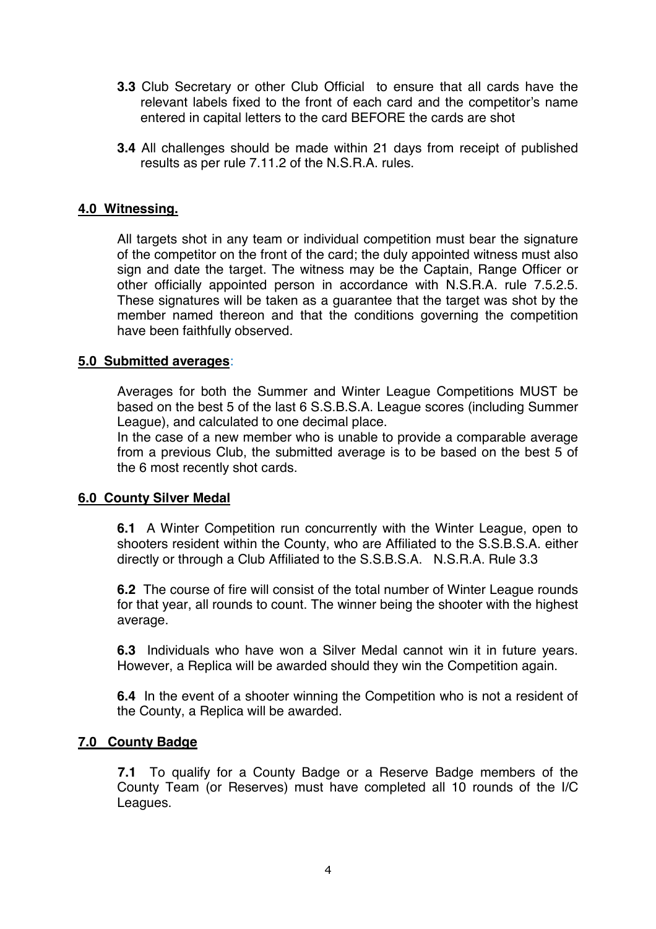- **3.3** Club Secretary or other Club Official to ensure that all cards have the relevant labels fixed to the front of each card and the competitor's name entered in capital letters to the card BEFORE the cards are shot
- **3.4** All challenges should be made within 21 days from receipt of published results as per rule 7.11.2 of the N.S.R.A. rules.

#### **4.0 Witnessing.**

All targets shot in any team or individual competition must bear the signature of the competitor on the front of the card; the duly appointed witness must also sign and date the target. The witness may be the Captain, Range Officer or other officially appointed person in accordance with N.S.R.A. rule 7.5.2.5. These signatures will be taken as a guarantee that the target was shot by the member named thereon and that the conditions governing the competition have been faithfully observed.

#### **5.0 Submitted averages**:

Averages for both the Summer and Winter League Competitions MUST be based on the best 5 of the last 6 S.S.B.S.A. League scores (including Summer League), and calculated to one decimal place.

In the case of a new member who is unable to provide a comparable average from a previous Club, the submitted average is to be based on the best 5 of the 6 most recently shot cards.

#### **6.0 County Silver Medal**

**6.1** A Winter Competition run concurrently with the Winter League, open to shooters resident within the County, who are Affiliated to the S.S.B.S.A. either directly or through a Club Affiliated to the S.S.B.S.A. N.S.R.A. Rule 3.3

**6.2** The course of fire will consist of the total number of Winter League rounds for that year, all rounds to count. The winner being the shooter with the highest average.

**6.3** Individuals who have won a Silver Medal cannot win it in future years. However, a Replica will be awarded should they win the Competition again.

**6.4** In the event of a shooter winning the Competition who is not a resident of the County, a Replica will be awarded.

#### **7.0 County Badge**

**7.1** To qualify for a County Badge or a Reserve Badge members of the County Team (or Reserves) must have completed all 10 rounds of the I/C Leagues.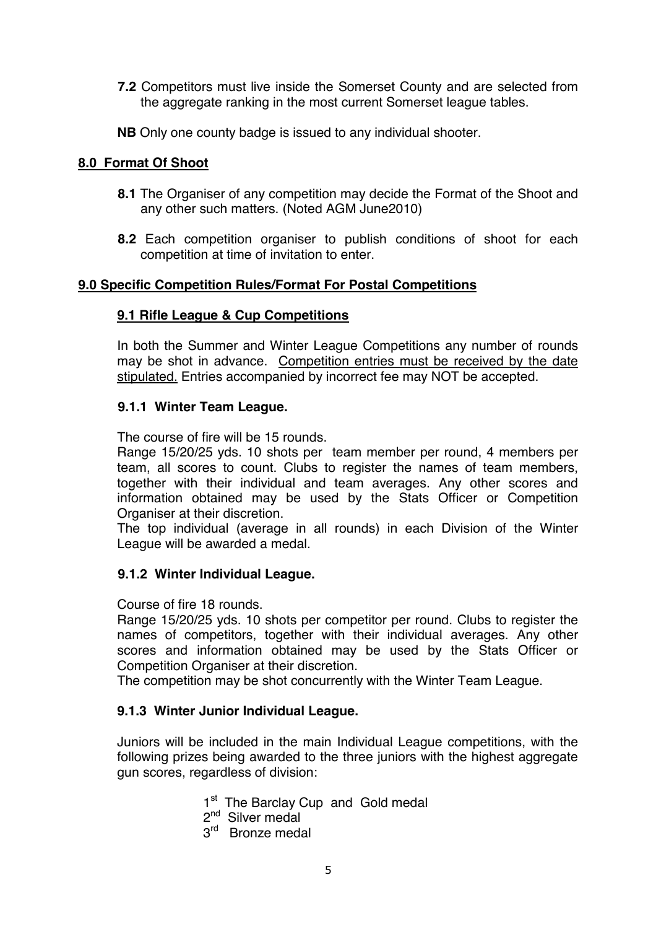- **7.2** Competitors must live inside the Somerset County and are selected from the aggregate ranking in the most current Somerset league tables.
- **NB** Only one county badge is issued to any individual shooter.

#### **8.0 Format Of Shoot**

- **8.1** The Organiser of any competition may decide the Format of the Shoot and any other such matters. (Noted AGM June2010)
- **8.2** Each competition organiser to publish conditions of shoot for each competition at time of invitation to enter.

#### **9.0 Specific Competition Rules/Format For Postal Competitions**

#### **9.1 Rifle League & Cup Competitions**

In both the Summer and Winter League Competitions any number of rounds may be shot in advance. Competition entries must be received by the date stipulated. Entries accompanied by incorrect fee may NOT be accepted.

#### **9.1.1 Winter Team League.**

The course of fire will be 15 rounds.

Range 15/20/25 yds. 10 shots per team member per round, 4 members per team, all scores to count. Clubs to register the names of team members, together with their individual and team averages. Any other scores and information obtained may be used by the Stats Officer or Competition Organiser at their discretion.

The top individual (average in all rounds) in each Division of the Winter League will be awarded a medal.

#### **9.1.2 Winter Individual League.**

Course of fire 18 rounds.

Range 15/20/25 yds. 10 shots per competitor per round. Clubs to register the names of competitors, together with their individual averages. Any other scores and information obtained may be used by the Stats Officer or Competition Organiser at their discretion.

The competition may be shot concurrently with the Winter Team League.

#### **9.1.3 Winter Junior Individual League.**

Juniors will be included in the main Individual League competitions, with the following prizes being awarded to the three juniors with the highest aggregate gun scores, regardless of division:

1<sup>st</sup> The Barclay Cup and Gold medal

- 2<sup>nd</sup> Silver medal
- 3<sup>rd</sup> Bronze medal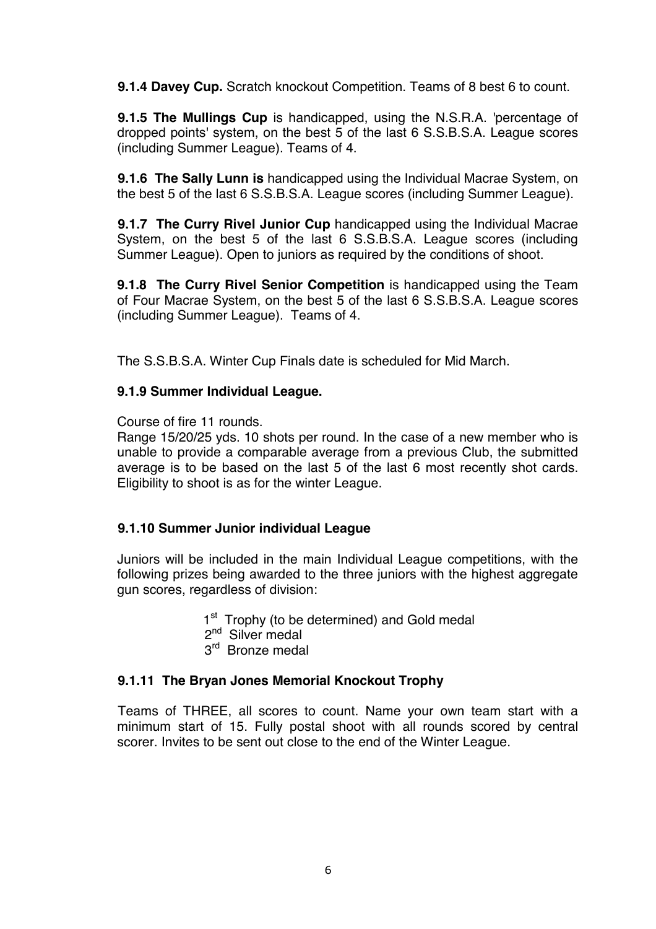**9.1.4 Davey Cup.** Scratch knockout Competition. Teams of 8 best 6 to count.

**9.1.5 The Mullings Cup** is handicapped, using the N.S.R.A. 'percentage of dropped points' system, on the best 5 of the last 6 S.S.B.S.A. League scores (including Summer League). Teams of 4.

**9.1.6 The Sally Lunn is** handicapped using the Individual Macrae System, on the best 5 of the last 6 S.S.B.S.A. League scores (including Summer League).

**9.1.7 The Curry Rivel Junior Cup** handicapped using the Individual Macrae System, on the best 5 of the last 6 S.S.B.S.A. League scores (including Summer League). Open to juniors as required by the conditions of shoot.

**9.1.8 The Curry Rivel Senior Competition** is handicapped using the Team of Four Macrae System, on the best 5 of the last 6 S.S.B.S.A. League scores (including Summer League). Teams of 4.

The S.S.B.S.A. Winter Cup Finals date is scheduled for Mid March.

#### **9.1.9 Summer Individual League.**

Course of fire 11 rounds.

Range 15/20/25 yds. 10 shots per round. In the case of a new member who is unable to provide a comparable average from a previous Club, the submitted average is to be based on the last 5 of the last 6 most recently shot cards. Eligibility to shoot is as for the winter League.

#### **9.1.10 Summer Junior individual League**

Juniors will be included in the main Individual League competitions, with the following prizes being awarded to the three juniors with the highest aggregate gun scores, regardless of division:

> 1<sup>st</sup> Trophy (to be determined) and Gold medal 2<sup>nd</sup> Silver medal 3rd Bronze medal

#### **9.1.11 The Bryan Jones Memorial Knockout Trophy**

Teams of THREE, all scores to count. Name your own team start with a minimum start of 15. Fully postal shoot with all rounds scored by central scorer. Invites to be sent out close to the end of the Winter League.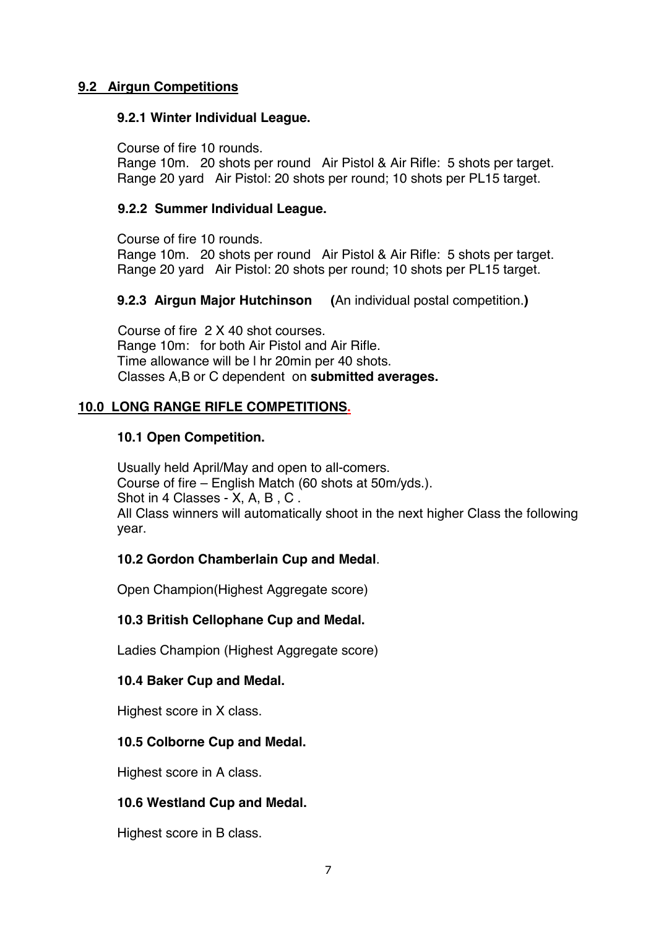#### **9.2 Airgun Competitions**

#### **9.2.1 Winter Individual League.**

Course of fire 10 rounds. Range 10m. 20 shots per round Air Pistol & Air Rifle: 5 shots per target. Range 20 yard Air Pistol: 20 shots per round; 10 shots per PL15 target.

#### **9.2.2 Summer Individual League.**

Course of fire 10 rounds. Range 10m. 20 shots per round Air Pistol & Air Rifle: 5 shots per target. Range 20 yard Air Pistol: 20 shots per round; 10 shots per PL15 target.

#### **9.2.3 Airgun Major Hutchinson (**An individual postal competition.**)**

Course of fire 2 X 40 shot courses. Range 10m: for both Air Pistol and Air Rifle. Time allowance will be l hr 20min per 40 shots. Classes A,B or C dependent on **submitted averages.**

#### **10.0 LONG RANGE RIFLE COMPETITIONS.**

#### **10.1 Open Competition.**

Usually held April/May and open to all-comers. Course of fire – English Match (60 shots at 50m/yds.). Shot in 4 Classes - X, A, B , C . All Class winners will automatically shoot in the next higher Class the following year.

#### **10.2 Gordon Chamberlain Cup and Medal**.

Open Champion(Highest Aggregate score)

#### **10.3 British Cellophane Cup and Medal.**

Ladies Champion (Highest Aggregate score)

#### **10.4 Baker Cup and Medal.**

Highest score in X class.

#### **10.5 Colborne Cup and Medal.**

Highest score in A class.

#### **10.6 Westland Cup and Medal.**

Highest score in B class.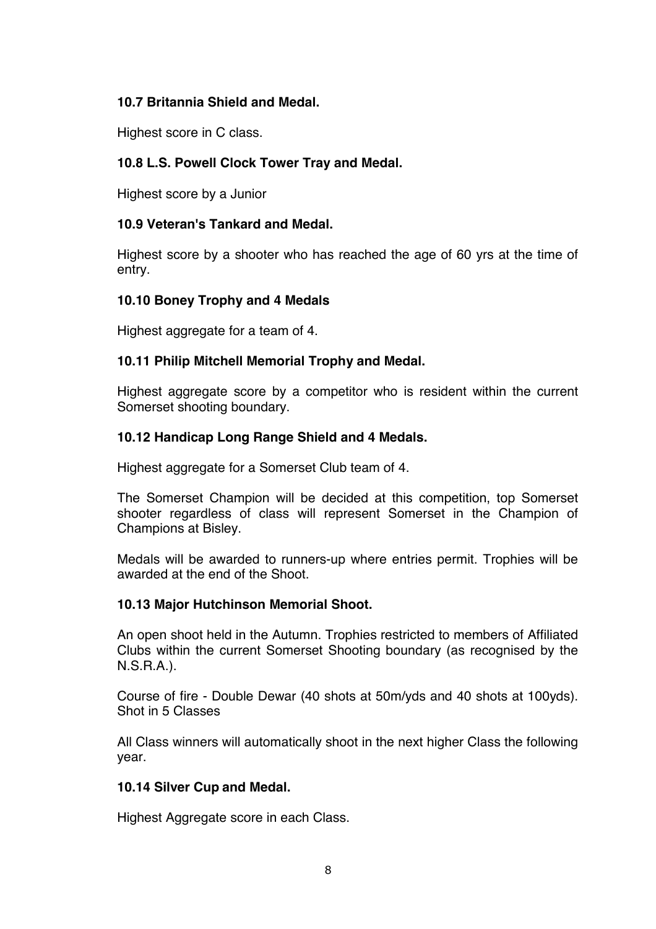#### **10.7 Britannia Shield and Medal.**

Highest score in C class.

### **10.8 L.S. Powell Clock Tower Tray and Medal.**

Highest score by a Junior

#### **10.9 Veteran's Tankard and Medal.**

Highest score by a shooter who has reached the age of 60 yrs at the time of entry.

#### **10.10 Boney Trophy and 4 Medals**

Highest aggregate for a team of 4.

#### **10.11 Philip Mitchell Memorial Trophy and Medal.**

Highest aggregate score by a competitor who is resident within the current Somerset shooting boundary.

#### **10.12 Handicap Long Range Shield and 4 Medals.**

Highest aggregate for a Somerset Club team of 4.

The Somerset Champion will be decided at this competition, top Somerset shooter regardless of class will represent Somerset in the Champion of Champions at Bisley.

Medals will be awarded to runners-up where entries permit. Trophies will be awarded at the end of the Shoot.

#### **10.13 Major Hutchinson Memorial Shoot.**

An open shoot held in the Autumn. Trophies restricted to members of Affiliated Clubs within the current Somerset Shooting boundary (as recognised by the N.S.R.A.).

Course of fire - Double Dewar (40 shots at 50m/yds and 40 shots at 100yds). Shot in 5 Classes

All Class winners will automatically shoot in the next higher Class the following year.

#### **10.14 Silver Cup and Medal.**

Highest Aggregate score in each Class.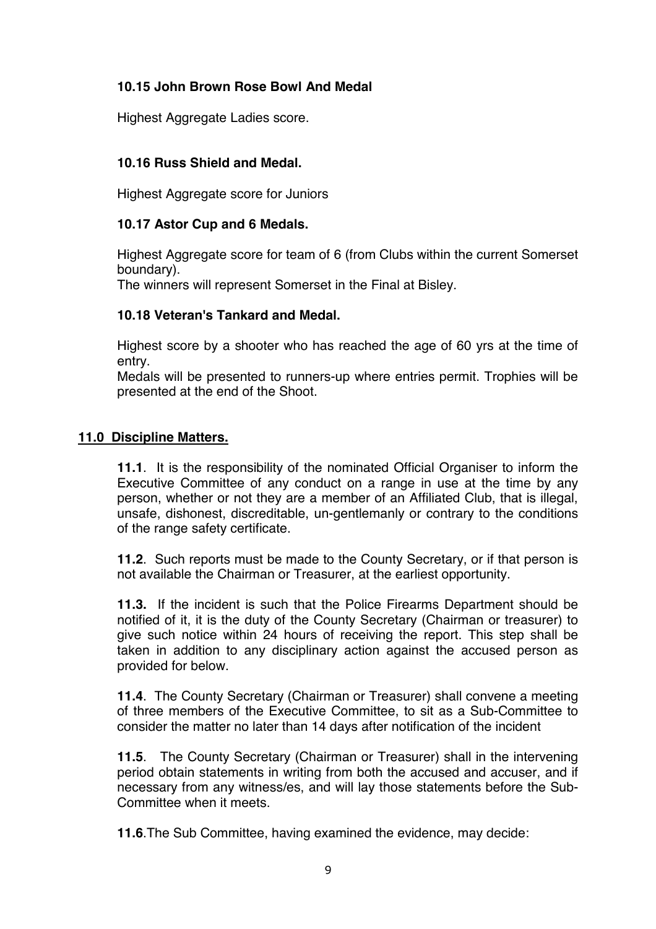### **10.15 John Brown Rose Bowl And Medal**

Highest Aggregate Ladies score.

### **10.16 Russ Shield and Medal.**

Highest Aggregate score for Juniors

#### **10.17 Astor Cup and 6 Medals.**

Highest Aggregate score for team of 6 (from Clubs within the current Somerset boundary).

The winners will represent Somerset in the Final at Bisley.

#### **10.18 Veteran's Tankard and Medal.**

Highest score by a shooter who has reached the age of 60 yrs at the time of entry.

Medals will be presented to runners-up where entries permit. Trophies will be presented at the end of the Shoot.

#### **11.0 Discipline Matters.**

**11.1**. It is the responsibility of the nominated Official Organiser to inform the Executive Committee of any conduct on a range in use at the time by any person, whether or not they are a member of an Affiliated Club, that is illegal, unsafe, dishonest, discreditable, un-gentlemanly or contrary to the conditions of the range safety certificate.

**11.2**. Such reports must be made to the County Secretary, or if that person is not available the Chairman or Treasurer, at the earliest opportunity.

**11.3.** If the incident is such that the Police Firearms Department should be notified of it, it is the duty of the County Secretary (Chairman or treasurer) to give such notice within 24 hours of receiving the report. This step shall be taken in addition to any disciplinary action against the accused person as provided for below.

**11.4**. The County Secretary (Chairman or Treasurer) shall convene a meeting of three members of the Executive Committee, to sit as a Sub-Committee to consider the matter no later than 14 days after notification of the incident

**11.5**. The County Secretary (Chairman or Treasurer) shall in the intervening period obtain statements in writing from both the accused and accuser, and if necessary from any witness/es, and will lay those statements before the Sub-Committee when it meets.

**11.6**.The Sub Committee, having examined the evidence, may decide: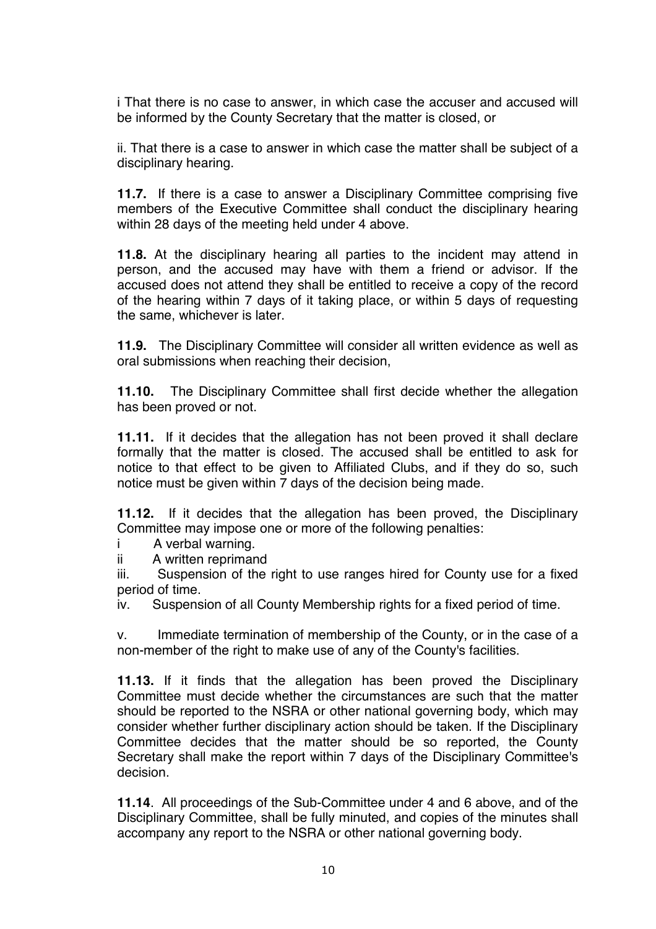i That there is no case to answer, in which case the accuser and accused will be informed by the County Secretary that the matter is closed, or

ii. That there is a case to answer in which case the matter shall be subject of a disciplinary hearing.

**11.7.** If there is a case to answer a Disciplinary Committee comprising five members of the Executive Committee shall conduct the disciplinary hearing within 28 days of the meeting held under 4 above.

**11.8.** At the disciplinary hearing all parties to the incident may attend in person, and the accused may have with them a friend or advisor. If the accused does not attend they shall be entitled to receive a copy of the record of the hearing within 7 days of it taking place, or within 5 days of requesting the same, whichever is later.

**11.9.** The Disciplinary Committee will consider all written evidence as well as oral submissions when reaching their decision,

**11.10.** The Disciplinary Committee shall first decide whether the allegation has been proved or not.

**11.11.** If it decides that the allegation has not been proved it shall declare formally that the matter is closed. The accused shall be entitled to ask for notice to that effect to be given to Affiliated Clubs, and if they do so, such notice must be given within 7 days of the decision being made.

**11.12.** If it decides that the allegation has been proved, the Disciplinary Committee may impose one or more of the following penalties:

- i A verbal warning.
- ii A written reprimand

iii. Suspension of the right to use ranges hired for County use for a fixed period of time.

iv. Suspension of all County Membership rights for a fixed period of time.

v. Immediate termination of membership of the County, or in the case of a non-member of the right to make use of any of the County's facilities.

**11.13.** If it finds that the allegation has been proved the Disciplinary Committee must decide whether the circumstances are such that the matter should be reported to the NSRA or other national governing body, which may consider whether further disciplinary action should be taken. If the Disciplinary Committee decides that the matter should be so reported, the County Secretary shall make the report within 7 days of the Disciplinary Committee's decision.

**11.14**. All proceedings of the Sub-Committee under 4 and 6 above, and of the Disciplinary Committee, shall be fully minuted, and copies of the minutes shall accompany any report to the NSRA or other national governing body.